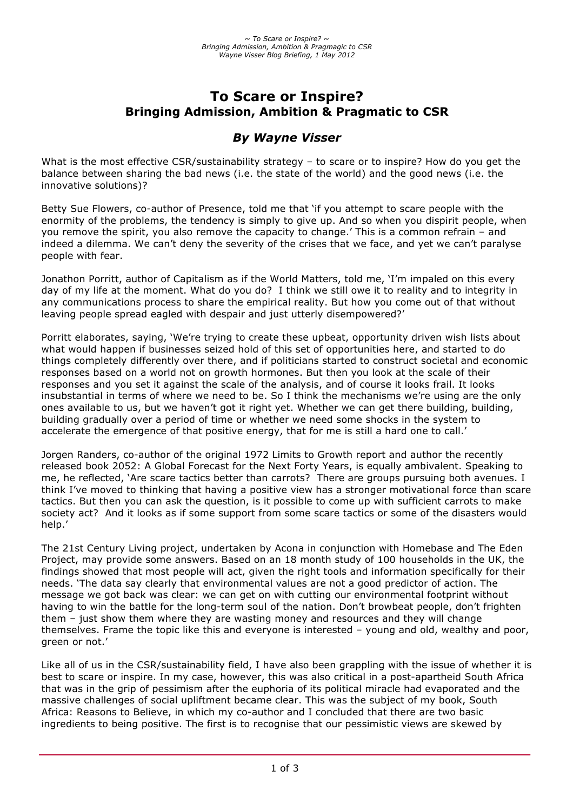# **To Scare or Inspire? Bringing Admission, Ambition & Pragmatic to CSR**

# *By Wayne Visser*

What is the most effective CSR/sustainability strategy - to scare or to inspire? How do you get the balance between sharing the bad news (i.e. the state of the world) and the good news (i.e. the innovative solutions)?

Betty Sue Flowers, co-author of Presence, told me that 'if you attempt to scare people with the enormity of the problems, the tendency is simply to give up. And so when you dispirit people, when you remove the spirit, you also remove the capacity to change.' This is a common refrain – and indeed a dilemma. We can't deny the severity of the crises that we face, and yet we can't paralyse people with fear.

Jonathon Porritt, author of Capitalism as if the World Matters, told me, 'I'm impaled on this every day of my life at the moment. What do you do? I think we still owe it to reality and to integrity in any communications process to share the empirical reality. But how you come out of that without leaving people spread eagled with despair and just utterly disempowered?'

Porritt elaborates, saying, 'We're trying to create these upbeat, opportunity driven wish lists about what would happen if businesses seized hold of this set of opportunities here, and started to do things completely differently over there, and if politicians started to construct societal and economic responses based on a world not on growth hormones. But then you look at the scale of their responses and you set it against the scale of the analysis, and of course it looks frail. It looks insubstantial in terms of where we need to be. So I think the mechanisms we're using are the only ones available to us, but we haven't got it right yet. Whether we can get there building, building, building gradually over a period of time or whether we need some shocks in the system to accelerate the emergence of that positive energy, that for me is still a hard one to call.'

Jorgen Randers, co-author of the original 1972 Limits to Growth report and author the recently released book 2052: A Global Forecast for the Next Forty Years, is equally ambivalent. Speaking to me, he reflected, 'Are scare tactics better than carrots? There are groups pursuing both avenues. I think I've moved to thinking that having a positive view has a stronger motivational force than scare tactics. But then you can ask the question, is it possible to come up with sufficient carrots to make society act? And it looks as if some support from some scare tactics or some of the disasters would help.'

The 21st Century Living project, undertaken by Acona in conjunction with Homebase and The Eden Project, may provide some answers. Based on an 18 month study of 100 households in the UK, the findings showed that most people will act, given the right tools and information specifically for their needs. 'The data say clearly that environmental values are not a good predictor of action. The message we got back was clear: we can get on with cutting our environmental footprint without having to win the battle for the long-term soul of the nation. Don't browbeat people, don't frighten them – just show them where they are wasting money and resources and they will change themselves. Frame the topic like this and everyone is interested – young and old, wealthy and poor, green or not.'

Like all of us in the CSR/sustainability field, I have also been grappling with the issue of whether it is best to scare or inspire. In my case, however, this was also critical in a post-apartheid South Africa that was in the grip of pessimism after the euphoria of its political miracle had evaporated and the massive challenges of social upliftment became clear. This was the subject of my book, South Africa: Reasons to Believe, in which my co-author and I concluded that there are two basic ingredients to being positive. The first is to recognise that our pessimistic views are skewed by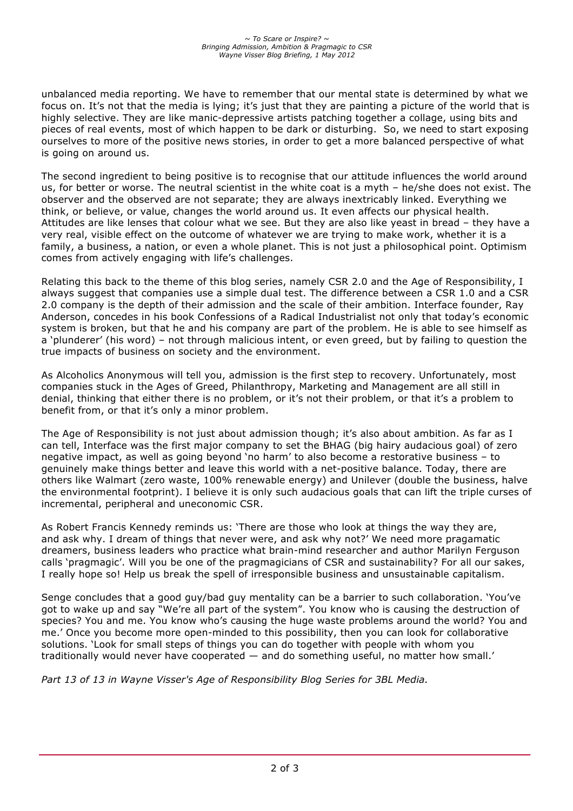unbalanced media reporting. We have to remember that our mental state is determined by what we focus on. It's not that the media is lying; it's just that they are painting a picture of the world that is highly selective. They are like manic-depressive artists patching together a collage, using bits and pieces of real events, most of which happen to be dark or disturbing. So, we need to start exposing ourselves to more of the positive news stories, in order to get a more balanced perspective of what is going on around us.

The second ingredient to being positive is to recognise that our attitude influences the world around us, for better or worse. The neutral scientist in the white coat is a myth – he/she does not exist. The observer and the observed are not separate; they are always inextricably linked. Everything we think, or believe, or value, changes the world around us. It even affects our physical health. Attitudes are like lenses that colour what we see. But they are also like yeast in bread – they have a very real, visible effect on the outcome of whatever we are trying to make work, whether it is a family, a business, a nation, or even a whole planet. This is not just a philosophical point. Optimism comes from actively engaging with life's challenges.

Relating this back to the theme of this blog series, namely CSR 2.0 and the Age of Responsibility, I always suggest that companies use a simple dual test. The difference between a CSR 1.0 and a CSR 2.0 company is the depth of their admission and the scale of their ambition. Interface founder, Ray Anderson, concedes in his book Confessions of a Radical Industrialist not only that today's economic system is broken, but that he and his company are part of the problem. He is able to see himself as a 'plunderer' (his word) – not through malicious intent, or even greed, but by failing to question the true impacts of business on society and the environment.

As Alcoholics Anonymous will tell you, admission is the first step to recovery. Unfortunately, most companies stuck in the Ages of Greed, Philanthropy, Marketing and Management are all still in denial, thinking that either there is no problem, or it's not their problem, or that it's a problem to benefit from, or that it's only a minor problem.

The Age of Responsibility is not just about admission though; it's also about ambition. As far as I can tell, Interface was the first major company to set the BHAG (big hairy audacious goal) of zero negative impact, as well as going beyond 'no harm' to also become a restorative business – to genuinely make things better and leave this world with a net-positive balance. Today, there are others like Walmart (zero waste, 100% renewable energy) and Unilever (double the business, halve the environmental footprint). I believe it is only such audacious goals that can lift the triple curses of incremental, peripheral and uneconomic CSR.

As Robert Francis Kennedy reminds us: 'There are those who look at things the way they are, and ask why. I dream of things that never were, and ask why not?' We need more pragamatic dreamers, business leaders who practice what brain-mind researcher and author Marilyn Ferguson calls 'pragmagic'. Will you be one of the pragmagicians of CSR and sustainability? For all our sakes, I really hope so! Help us break the spell of irresponsible business and unsustainable capitalism.

Senge concludes that a good guy/bad guy mentality can be a barrier to such collaboration. 'You've got to wake up and say "We're all part of the system". You know who is causing the destruction of species? You and me. You know who's causing the huge waste problems around the world? You and me.' Once you become more open-minded to this possibility, then you can look for collaborative solutions. 'Look for small steps of things you can do together with people with whom you traditionally would never have cooperated — and do something useful, no matter how small.'

*Part 13 of 13 in Wayne Visser's Age of Responsibility Blog Series for 3BL Media.*